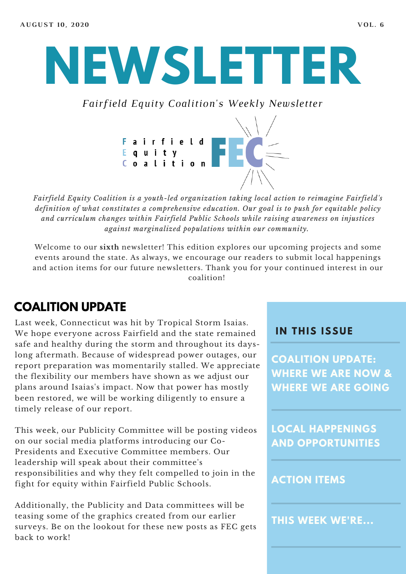# **NEWSLETTER**

*Fairfield Equity Coalition's Weekly Newsletter*



*Fairfield Equity Coalition is a youth-led organization taking local action to reimagine Fairfield's definition of what constitutes a comprehensive education. Our goal is to push for equitable policy and curriculum changes within Fairfield Public Schools while raising awareness on injustices against marginalized populations within our community.*

Welcome to our **sixth** newsletter! This edition explores our upcoming projects and some events around the state. As always, we encourage our readers to submit local happenings and action items for our future newsletters. Thank you for your continued interest in our coalition!

## **COALITION UPDATE**

Last week, Connecticut was hit by Tropical Storm Isaias. We hope everyone across Fairfield and the state remained safe and healthy during the storm and throughout its dayslong aftermath. Because of widespread power outages, our report preparation was momentarily stalled. We appreciate the flexibility our members have shown as we adjust our plans around Isaias's impact. Now that power has mostly been restored, we will be working diligently to ensure a timely release of our report.

This week, our Publicity Committee will be posting videos on our social media platforms introducing our Co-Presidents and Executive Committee members. Our leadership will speak about their committee's responsibilities and why they felt compelled to join in the fight for equity within Fairfield Public Schools.

Additionally, the Publicity and Data committees will be teasing some of the graphics created from our earlier surveys. Be on the lookout for these new posts as FEC gets back to work!

#### **I N THIS ISSUE**

**COALITION UPDATE: WHERE WE ARE NOW & WHERE WE ARE GOING**

**LOCAL HAPPENINGS AND OPPORTUNITIES**

#### **ACTION ITEMS**

**THIS WEEK WE'RE...**